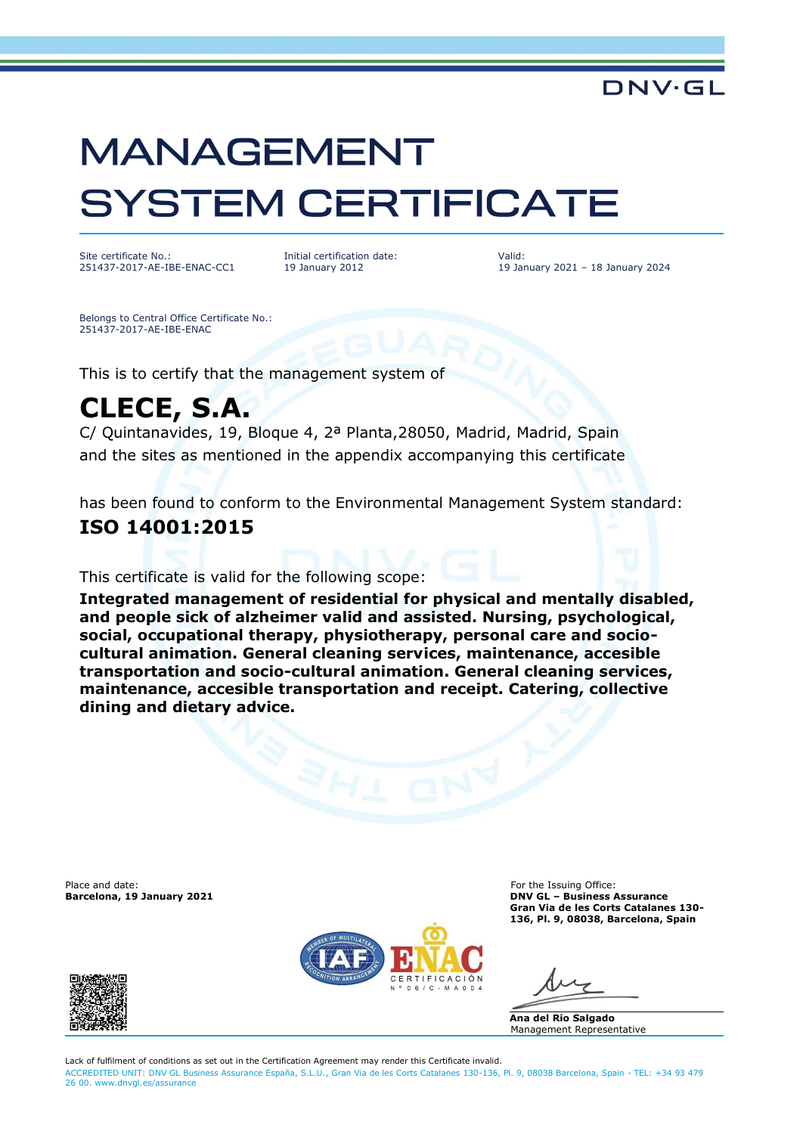# **MANAGEMENT SYSTEM CERTIFICATE**

Site certificate No.: 251437-2017-AE-IBE-ENAC-CC1 Initial certification date: 19 January 2012

Valid: 19 January 2021 – 18 January 2024

DNV-GI

Belongs to Central Office Certificate No.: 251437-2017-AE-IBE-ENAC

This is to certify that the management system of

## **CLECE, S.A.**

C/ Quintanavides, 19, Bloque 4, 2ª Planta,28050, Madrid, Madrid, Spain and the sites as mentioned in the appendix accompanying this certificate

has been found to conform to the Environmental Management System standard:

### **ISO 14001:2015**

This certificate is valid for the following scope:

**Integrated management of residential for physical and mentally disabled, and people sick of alzheimer valid and assisted. Nursing, psychological, social, occupational therapy, physiotherapy, personal care and sociocultural animation. General cleaning services, maintenance, accesible transportation and socio-cultural animation. General cleaning services, maintenance, accesible transportation and receipt. Catering, collective dining and dietary advice.**

Place and date: For the Issuing Office:<br> **Barcelona, 19 January 2021** Contract the Islam of the Islam of the Islam of the Islam of the Islam of the Islam of the Islam of the Islam of the Islam of the Islam of the Islam of



**Barcelona, 19 January 2021 DNV GL – Business Assurance Gran Via de les Corts Catalanes 130- 136, Pl. 9, 08038, Barcelona, Spain**

**Ana del Rio Salgado** Management Representative

Lack of fulfilment of conditions as set out in the Certification Agreement may render this Certificate invalid. ACCREDITED UNIT: DNV GL Business Assurance España, S.L.U., Gran Via de les Corts Catalanes 130-136, Pl. 9, 08038 Barcelona, Spain - TEL: +34 93 479 26 00. [www.dnvgl.es/assurance](http://www.dnvgl.es/assurance)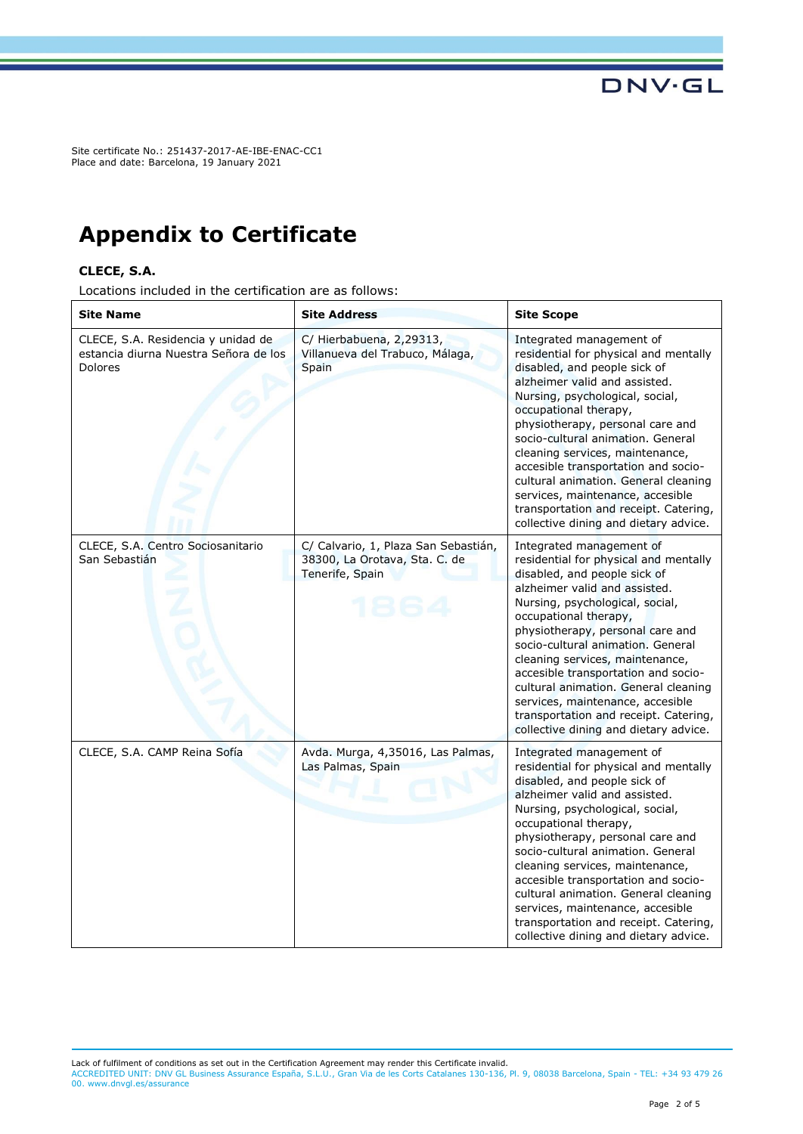Site certificate No.: 251437-2017-AE-IBE-ENAC-CC1 Place and date: Barcelona, 19 January 2021

## **Appendix to Certificate**

#### **CLECE, S.A.**

Locations included in the certification are as follows:

| <b>Site Name</b>                                                                              | <b>Site Address</b>                                                                      | <b>Site Scope</b>                                                                                                                                                                                                                                                                                                                                                                                                                                                                                               |
|-----------------------------------------------------------------------------------------------|------------------------------------------------------------------------------------------|-----------------------------------------------------------------------------------------------------------------------------------------------------------------------------------------------------------------------------------------------------------------------------------------------------------------------------------------------------------------------------------------------------------------------------------------------------------------------------------------------------------------|
| CLECE, S.A. Residencia y unidad de<br>estancia diurna Nuestra Señora de los<br><b>Dolores</b> | C/ Hierbabuena, 2,29313,<br>Villanueva del Trabuco, Málaga,<br>Spain                     | Integrated management of<br>residential for physical and mentally<br>disabled, and people sick of<br>alzheimer valid and assisted.<br>Nursing, psychological, social,<br>occupational therapy,<br>physiotherapy, personal care and<br>socio-cultural animation. General<br>cleaning services, maintenance,<br>accesible transportation and socio-<br>cultural animation. General cleaning<br>services, maintenance, accesible<br>transportation and receipt. Catering,<br>collective dining and dietary advice. |
| CLECE, S.A. Centro Sociosanitario<br>San Sebastián                                            | C/ Calvario, 1, Plaza San Sebastián,<br>38300, La Orotava, Sta. C. de<br>Tenerife, Spain | Integrated management of<br>residential for physical and mentally<br>disabled, and people sick of<br>alzheimer valid and assisted.<br>Nursing, psychological, social,<br>occupational therapy,<br>physiotherapy, personal care and<br>socio-cultural animation. General<br>cleaning services, maintenance,<br>accesible transportation and socio-<br>cultural animation. General cleaning<br>services, maintenance, accesible<br>transportation and receipt. Catering,<br>collective dining and dietary advice. |
| CLECE, S.A. CAMP Reina Sofía                                                                  | Avda. Murga, 4,35016, Las Palmas,<br>Las Palmas, Spain                                   | Integrated management of<br>residential for physical and mentally<br>disabled, and people sick of<br>alzheimer valid and assisted.<br>Nursing, psychological, social,<br>occupational therapy,<br>physiotherapy, personal care and<br>socio-cultural animation. General<br>cleaning services, maintenance,<br>accesible transportation and socio-<br>cultural animation. General cleaning<br>services, maintenance, accesible<br>transportation and receipt. Catering,<br>collective dining and dietary advice. |

Lack of fulfilment of conditions as set out in the Certification Agreement may render this Certificate invalid.

ACCREDITED UNIT: DNV GL Business Assurance España, S.L.U., Gran Via de les Corts Catalanes 130-136, Pl. 9, 08038 Barcelona, Spain - TEL: +34 93 479 26 00. [www.dnvgl.es/assurance](http://www.dnvgl.es/assurance)

**DNV·GL**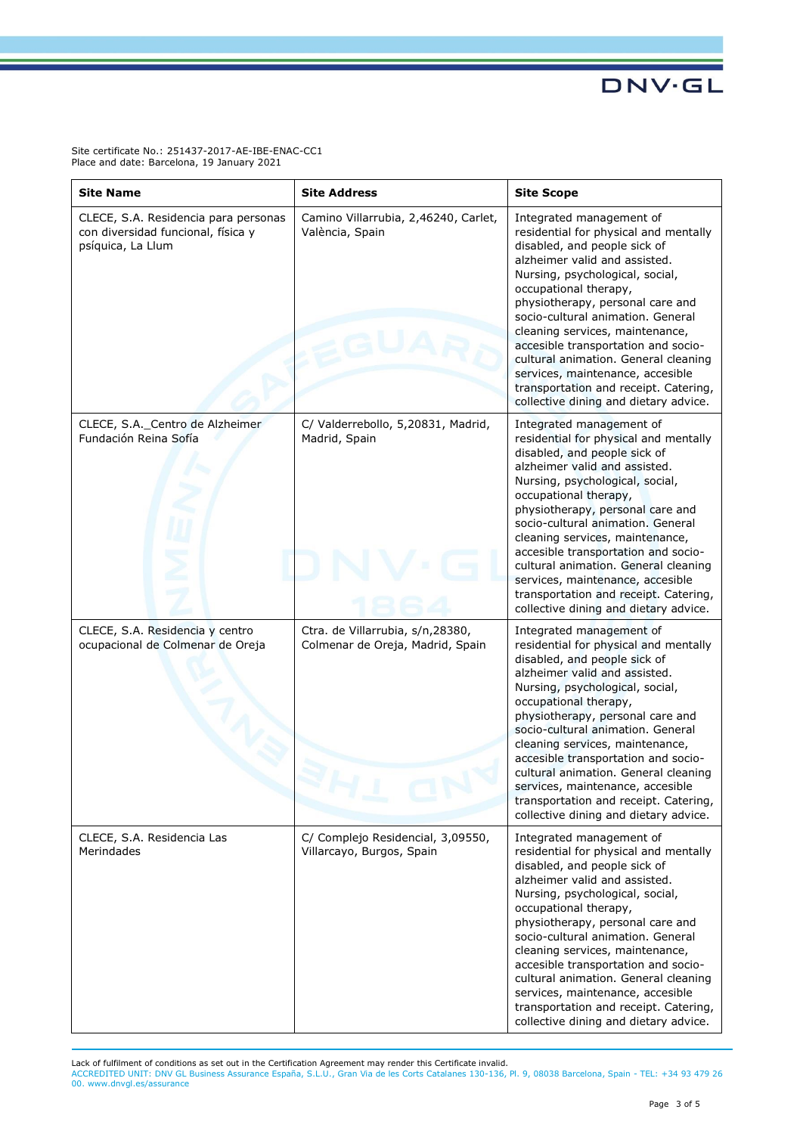**DNV·GL** 

Site certificate No.: 251437-2017-AE-IBE-ENAC-CC1 Place and date: Barcelona, 19 January 2021

| <b>Site Name</b>                                                                                | <b>Site Address</b>                                                  | <b>Site Scope</b>                                                                                                                                                                                                                                                                                                                                                                                                                                                                                               |
|-------------------------------------------------------------------------------------------------|----------------------------------------------------------------------|-----------------------------------------------------------------------------------------------------------------------------------------------------------------------------------------------------------------------------------------------------------------------------------------------------------------------------------------------------------------------------------------------------------------------------------------------------------------------------------------------------------------|
| CLECE, S.A. Residencia para personas<br>con diversidad funcional, física y<br>psíquica, La Llum | Camino Villarrubia, 2,46240, Carlet,<br>València, Spain              | Integrated management of<br>residential for physical and mentally<br>disabled, and people sick of<br>alzheimer valid and assisted.<br>Nursing, psychological, social,<br>occupational therapy,<br>physiotherapy, personal care and<br>socio-cultural animation. General<br>cleaning services, maintenance,<br>accesible transportation and socio-<br>cultural animation. General cleaning<br>services, maintenance, accesible<br>transportation and receipt. Catering,<br>collective dining and dietary advice. |
| CLECE, S.A._Centro de Alzheimer<br>Fundación Reina Sofía                                        | C/ Valderrebollo, 5,20831, Madrid,<br>Madrid, Spain                  | Integrated management of<br>residential for physical and mentally<br>disabled, and people sick of<br>alzheimer valid and assisted.<br>Nursing, psychological, social,<br>occupational therapy,<br>physiotherapy, personal care and<br>socio-cultural animation. General<br>cleaning services, maintenance,<br>accesible transportation and socio-<br>cultural animation. General cleaning<br>services, maintenance, accesible<br>transportation and receipt. Catering,<br>collective dining and dietary advice. |
| CLECE, S.A. Residencia y centro<br>ocupacional de Colmenar de Oreja                             | Ctra. de Villarrubia, s/n,28380,<br>Colmenar de Oreja, Madrid, Spain | Integrated management of<br>residential for physical and mentally<br>disabled, and people sick of<br>alzheimer valid and assisted.<br>Nursing, psychological, social,<br>occupational therapy,<br>physiotherapy, personal care and<br>socio-cultural animation. General<br>cleaning services, maintenance,<br>accesible transportation and socio-<br>cultural animation. General cleaning<br>services, maintenance, accesible<br>transportation and receipt. Catering,<br>collective dining and dietary advice. |
| CLECE, S.A. Residencia Las<br>Merindades                                                        | C/ Complejo Residencial, 3,09550,<br>Villarcayo, Burgos, Spain       | Integrated management of<br>residential for physical and mentally<br>disabled, and people sick of<br>alzheimer valid and assisted.<br>Nursing, psychological, social,<br>occupational therapy,<br>physiotherapy, personal care and<br>socio-cultural animation. General<br>cleaning services, maintenance,<br>accesible transportation and socio-<br>cultural animation. General cleaning<br>services, maintenance, accesible<br>transportation and receipt. Catering,<br>collective dining and dietary advice. |

Lack of fulfilment of conditions as set out in the Certification Agreement may render this Certificate invalid.<br>ACCREDITED UNIT: DNV GL Business Assurance España, S.L.U., Gran Via de les Corts Catalanes 130-136, Pl. 9, 080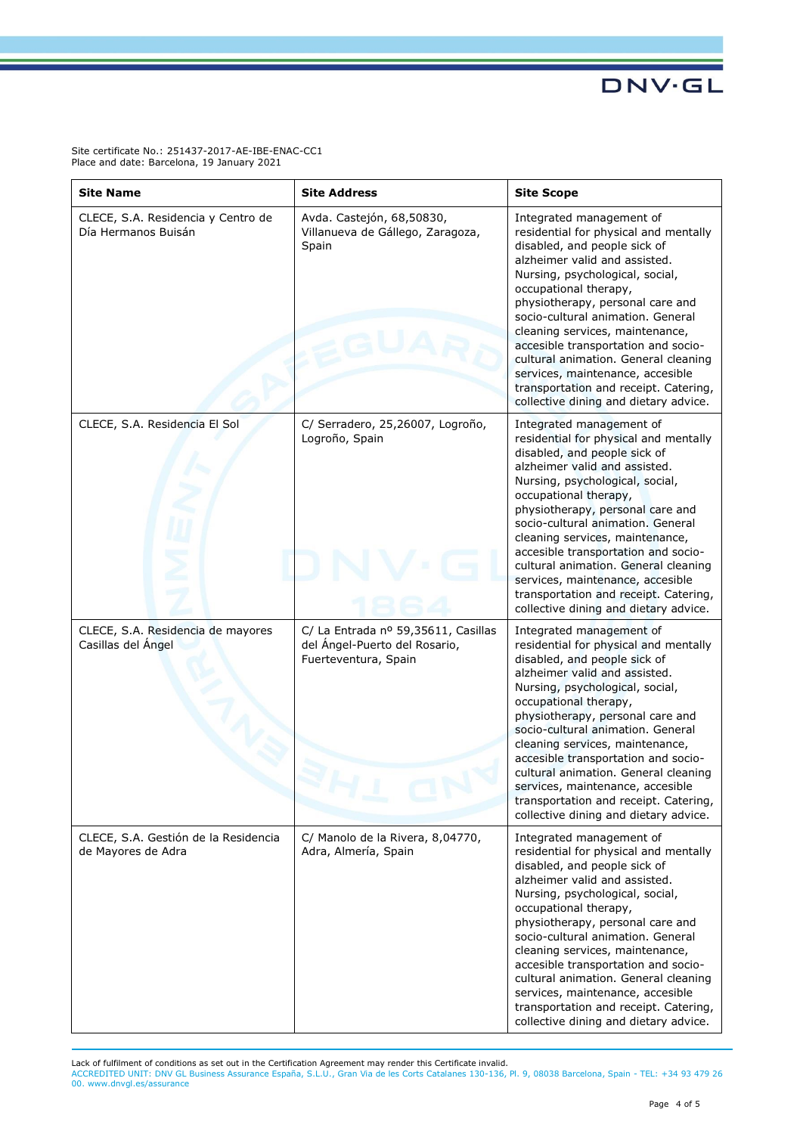**DNV·GL** 

Site certificate No.: 251437-2017-AE-IBE-ENAC-CC1 Place and date: Barcelona, 19 January 2021

| <b>Site Name</b>                                           | <b>Site Address</b>                                                                          | <b>Site Scope</b>                                                                                                                                                                                                                                                                                                                                                                                                                                                                                               |
|------------------------------------------------------------|----------------------------------------------------------------------------------------------|-----------------------------------------------------------------------------------------------------------------------------------------------------------------------------------------------------------------------------------------------------------------------------------------------------------------------------------------------------------------------------------------------------------------------------------------------------------------------------------------------------------------|
| CLECE, S.A. Residencia y Centro de<br>Día Hermanos Buisán  | Avda. Castejón, 68,50830,<br>Villanueva de Gállego, Zaragoza,<br>Spain                       | Integrated management of<br>residential for physical and mentally<br>disabled, and people sick of<br>alzheimer valid and assisted.<br>Nursing, psychological, social,<br>occupational therapy,<br>physiotherapy, personal care and<br>socio-cultural animation. General<br>cleaning services, maintenance,<br>accesible transportation and socio-<br>cultural animation. General cleaning<br>services, maintenance, accesible<br>transportation and receipt. Catering,<br>collective dining and dietary advice. |
| CLECE, S.A. Residencia El Sol                              | C/ Serradero, 25,26007, Logroño,<br>Logroño, Spain                                           | Integrated management of<br>residential for physical and mentally<br>disabled, and people sick of<br>alzheimer valid and assisted.<br>Nursing, psychological, social,<br>occupational therapy,<br>physiotherapy, personal care and<br>socio-cultural animation. General<br>cleaning services, maintenance,<br>accesible transportation and socio-<br>cultural animation. General cleaning<br>services, maintenance, accesible<br>transportation and receipt. Catering,<br>collective dining and dietary advice. |
| CLECE, S.A. Residencia de mayores<br>Casillas del Ángel    | C/ La Entrada nº 59,35611, Casillas<br>del Ángel-Puerto del Rosario,<br>Fuerteventura, Spain | Integrated management of<br>residential for physical and mentally<br>disabled, and people sick of<br>alzheimer valid and assisted.<br>Nursing, psychological, social,<br>occupational therapy,<br>physiotherapy, personal care and<br>socio-cultural animation. General<br>cleaning services, maintenance,<br>accesible transportation and socio-<br>cultural animation. General cleaning<br>services, maintenance, accesible<br>transportation and receipt. Catering,<br>collective dining and dietary advice. |
| CLECE, S.A. Gestión de la Residencia<br>de Mayores de Adra | C/ Manolo de la Rivera, 8,04770,<br>Adra, Almería, Spain                                     | Integrated management of<br>residential for physical and mentally<br>disabled, and people sick of<br>alzheimer valid and assisted.<br>Nursing, psychological, social,<br>occupational therapy,<br>physiotherapy, personal care and<br>socio-cultural animation. General<br>cleaning services, maintenance,<br>accesible transportation and socio-<br>cultural animation. General cleaning<br>services, maintenance, accesible<br>transportation and receipt. Catering,<br>collective dining and dietary advice. |

Lack of fulfilment of conditions as set out in the Certification Agreement may render this Certificate invalid.<br>ACCREDITED UNIT: DNV GL Business Assurance España, S.L.U., Gran Via de les Corts Catalanes 130-136, Pl. 9, 080